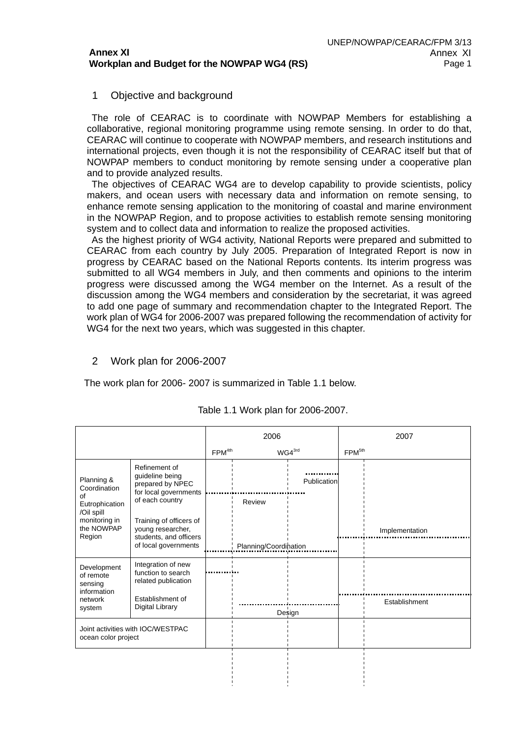## 1 Objective and background

 The role of CEARAC is to coordinate with NOWPAP Members for establishing a collaborative, regional monitoring programme using remote sensing. In order to do that, CEARAC will continue to cooperate with NOWPAP members, and research institutions and international projects, even though it is not the responsibility of CEARAC itself but that of NOWPAP members to conduct monitoring by remote sensing under a cooperative plan and to provide analyzed results.

 The objectives of CEARAC WG4 are to develop capability to provide scientists, policy makers, and ocean users with necessary data and information on remote sensing, to enhance remote sensing application to the monitoring of coastal and marine environment in the NOWPAP Region, and to propose activities to establish remote sensing monitoring system and to collect data and information to realize the proposed activities.

 As the highest priority of WG4 activity, National Reports were prepared and submitted to CEARAC from each country by July 2005. Preparation of Integrated Report is now in progress by CEARAC based on the National Reports contents. Its interim progress was submitted to all WG4 members in July, and then comments and opinions to the interim progress were discussed among the WG4 member on the Internet. As a result of the discussion among the WG4 members and consideration by the secretariat, it was agreed to add one page of summary and recommendation chapter to the Integrated Report. The work plan of WG4 for 2006-2007 was prepared following the recommendation of activity for WG4 for the next two years, which was suggested in this chapter.

## 2 Work plan for 2006-2007

The work plan for 2006- 2007 is summarized in Table 1.1 below.

|                                                          |                                                                                                | 2006               |                       | 2007               |                    |                |
|----------------------------------------------------------|------------------------------------------------------------------------------------------------|--------------------|-----------------------|--------------------|--------------------|----------------|
|                                                          |                                                                                                | FPM <sup>4th</sup> |                       | WG4 <sup>3rd</sup> | FPM <sup>5th</sup> |                |
| Planning &<br>Coordination                               | Refinement of<br>guideline being<br>prepared by NPEC<br>for local governments                  |                    |                       | Publication        |                    |                |
| $\Omega$<br>Eutrophication                               | of each country                                                                                |                    | Review                |                    |                    |                |
| /Oil spill<br>monitoring in<br>the NOWPAP<br>Region      | Training of officers of<br>young researcher,<br>students, and officers<br>of local governments |                    | Planning/Coordination |                    |                    | Implementation |
| Development<br>of remote<br>sensing<br>information       | Integration of new<br>function to search<br>related publication                                |                    |                       |                    |                    |                |
| network<br>system                                        | Establishment of<br><b>Digital Library</b>                                                     |                    |                       |                    |                    | Establishment  |
|                                                          |                                                                                                |                    | Design                |                    |                    |                |
| Joint activities with IOC/WESTPAC<br>ocean color project |                                                                                                |                    |                       |                    |                    |                |
|                                                          |                                                                                                |                    |                       |                    |                    |                |

## Table 1.1 Work plan for 2006-2007.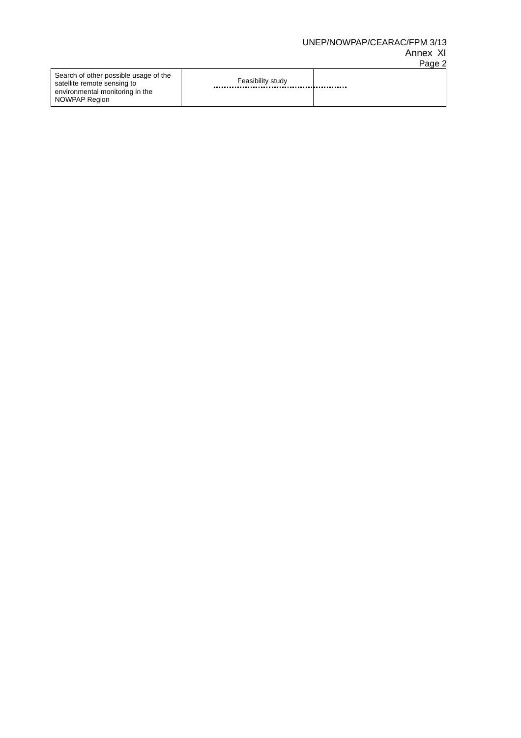# UNEP/NOWPAP/CEARAC/FPM 3/13

#### Annex XI Page 2

| Search of other possible usage of the<br>satellite remote sensing to<br>environmental monitoring in the | Feasibility study |  |
|---------------------------------------------------------------------------------------------------------|-------------------|--|
| NOWPAP Region                                                                                           |                   |  |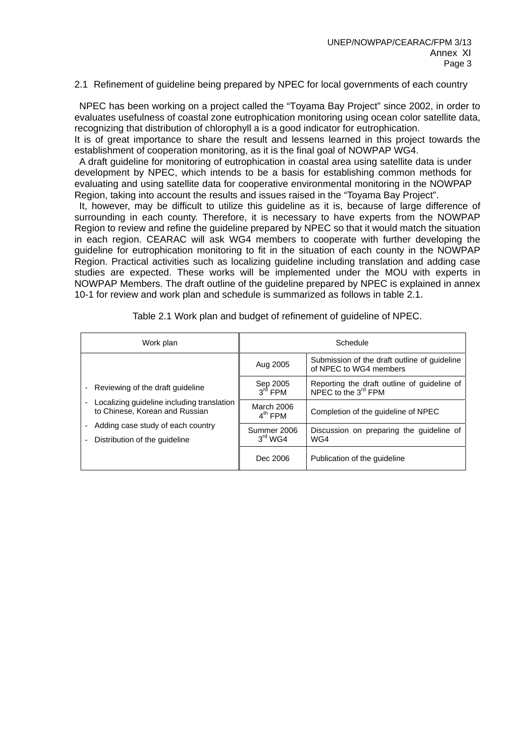#### 2.1 Refinement of guideline being prepared by NPEC for local governments of each country

 NPEC has been working on a project called the "Toyama Bay Project" since 2002, in order to evaluates usefulness of coastal zone eutrophication monitoring using ocean color satellite data, recognizing that distribution of chlorophyll a is a good indicator for eutrophication.

It is of great importance to share the result and lessens learned in this project towards the establishment of cooperation monitoring, as it is the final goal of NOWPAP WG4.

 A draft guideline for monitoring of eutrophication in coastal area using satellite data is under development by NPEC, which intends to be a basis for establishing common methods for evaluating and using satellite data for cooperative environmental monitoring in the NOWPAP Region, taking into account the results and issues raised in the "Toyama Bay Project".

 It, however, may be difficult to utilize this guideline as it is, because of large difference of surrounding in each county. Therefore, it is necessary to have experts from the NOWPAP Region to review and refine the guideline prepared by NPEC so that it would match the situation in each region. CEARAC will ask WG4 members to cooperate with further developing the guideline for eutrophication monitoring to fit in the situation of each county in the NOWPAP Region. Practical activities such as localizing guideline including translation and adding case studies are expected. These works will be implemented under the MOU with experts in NOWPAP Members. The draft outline of the guideline prepared by NPEC is explained in annex 10-1 for review and work plan and schedule is summarized as follows in table 2.1.

| Work plan                                                                                                                  | Schedule                           |                                                                        |  |
|----------------------------------------------------------------------------------------------------------------------------|------------------------------------|------------------------------------------------------------------------|--|
|                                                                                                                            | Aug 2005                           | Submission of the draft outline of guideline<br>of NPEC to WG4 members |  |
| Reviewing of the draft guideline<br>۰                                                                                      | Sep 2005<br>$3rd$ FPM              | Reporting the draft outline of guideline of NPEC to the $3^{rd}$ FPM   |  |
| Localizing guideline including translation<br>to Chinese. Korean and Russian                                               | March 2006<br>$4^{\text{th}}$ FPM  | Completion of the quideline of NPEC                                    |  |
| Adding case study of each country<br>$\overline{\phantom{a}}$<br>Distribution of the quideline<br>$\overline{\phantom{a}}$ | Summer 2006<br>$3^{\text{rd}}$ WG4 | Discussion on preparing the quideline of<br>WG4                        |  |
|                                                                                                                            | Dec 2006                           | Publication of the quideline                                           |  |

Table 2.1 Work plan and budget of refinement of guideline of NPEC.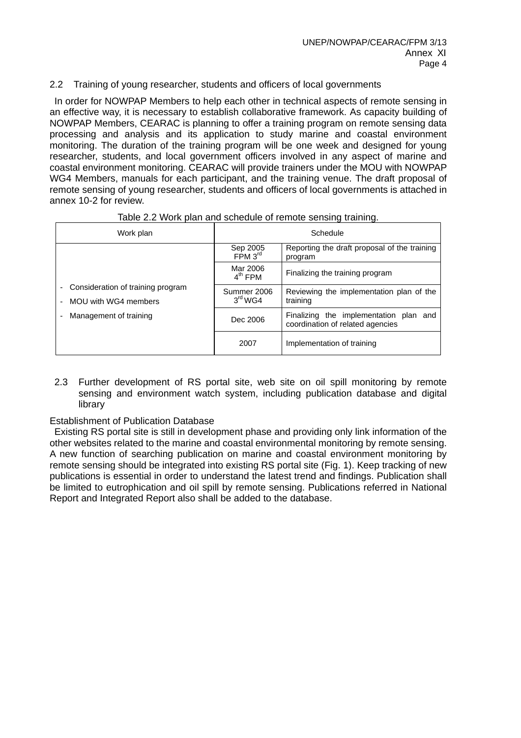## 2.2 Training of young researcher, students and officers of local governments

 In order for NOWPAP Members to help each other in technical aspects of remote sensing in an effective way, it is necessary to establish collaborative framework. As capacity building of NOWPAP Members, CEARAC is planning to offer a training program on remote sensing data processing and analysis and its application to study marine and coastal environment monitoring. The duration of the training program will be one week and designed for young researcher, students, and local government officers involved in any aspect of marine and coastal environment monitoring. CEARAC will provide trainers under the MOU with NOWPAP WG4 Members, manuals for each participant, and the training venue. The draft proposal of remote sensing of young researcher, students and officers of local governments is attached in annex 10-2 for review.

| Work plan                                                 | Schedule                           |                                                                            |  |
|-----------------------------------------------------------|------------------------------------|----------------------------------------------------------------------------|--|
|                                                           | Sep 2005<br>FPM 3 <sup>rd</sup>    | Reporting the draft proposal of the training<br>program                    |  |
|                                                           | Mar 2006<br>$4^{\text{th}}$ FPM    | Finalizing the training program                                            |  |
| Consideration of training program<br>MOU with WG4 members | Summer 2006<br>$3^{\text{rd}}$ WG4 | Reviewing the implementation plan of the<br>training                       |  |
| Management of training                                    | Dec 2006                           | Finalizing the implementation plan and<br>coordination of related agencies |  |
|                                                           | 2007                               | Implementation of training                                                 |  |

| Table 2.2 Work plan and schedule of remote sensing training. |  |  |
|--------------------------------------------------------------|--|--|
|                                                              |  |  |

2.3 Further development of RS portal site, web site on oil spill monitoring by remote sensing and environment watch system, including publication database and digital library

#### Establishment of Publication Database

 Existing RS portal site is still in development phase and providing only link information of the other websites related to the marine and coastal environmental monitoring by remote sensing. A new function of searching publication on marine and coastal environment monitoring by remote sensing should be integrated into existing RS portal site (Fig. 1). Keep tracking of new publications is essential in order to understand the latest trend and findings. Publication shall be limited to eutrophication and oil spill by remote sensing. Publications referred in National Report and Integrated Report also shall be added to the database.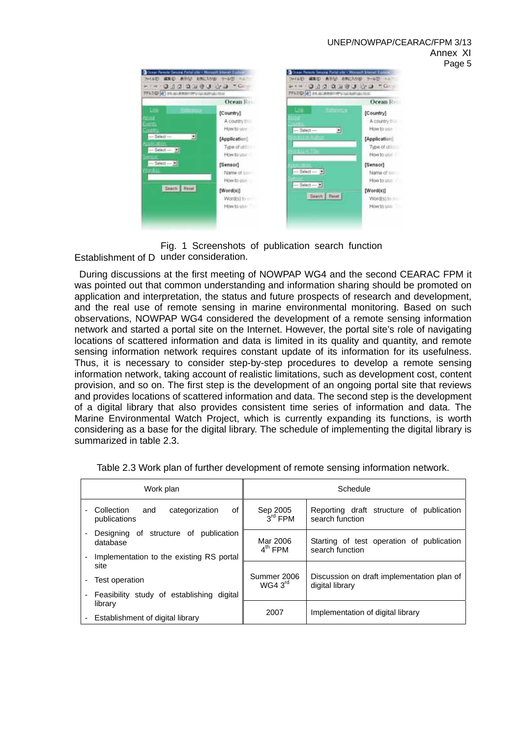#### UNEP/NOWPAP/CEARAC/FPM 3/13 Annex XI Page 5

| 771303 0 11.0 AMERICAN MARIE                                              |                                                | <br>PELLO (4) H. H. ARRIVELLAND ALTER                                                      |                                                |
|---------------------------------------------------------------------------|------------------------------------------------|--------------------------------------------------------------------------------------------|------------------------------------------------|
|                                                                           | Ocean R                                        |                                                                                            | Ocean Re                                       |
| <b>Life</b><br><b>CHINOCO</b><br><b>About</b><br><b>Exerts</b><br>Couttry | [Country]<br>A country that<br>How to use.     | <b>Refluence</b><br><b>Link</b><br><b>History</b><br><b>ASSAULT</b><br>$-$ Select $-$<br>최 | [Country]<br>A country that<br>How to use      |
| $-$ Select $-$<br>뇌<br><b>ADDACABON</b><br>$-$ Select $ \frac{101}{25}$   | [Application]<br>Type of utility<br>How to use | <b>NUMBER IN ALCOHOL</b><br><b>PRINCIPALE</b>                                              | [Application]<br>Type of utility<br>How to use |
| $-$ Select - $\overline{x}$<br>ond at-                                    | [Sensor]<br>Name of some<br>How to one         | $-$ Salect $ +$<br>$-$ Select $ +$                                                         | [Sensor]<br>Name of service<br>How to use      |
| Seatth Renet                                                              | [Word(s)]<br>Word(s) to see<br>How to use      | Search   Reset                                                                             | [Word[s]]<br>Word(s) to see<br>How to use T    |

Establishment of D under consideration. Fig. 1 Screenshots of publication search function

 During discussions at the first meeting of NOWPAP WG4 and the second CEARAC FPM it was pointed out that common understanding and information sharing should be promoted on application and interpretation, the status and future prospects of research and development, and the real use of remote sensing in marine environmental monitoring. Based on such observations, NOWPAP WG4 considered the development of a remote sensing information network and started a portal site on the Internet. However, the portal site's role of navigating locations of scattered information and data is limited in its quality and quantity, and remote sensing information network requires constant update of its information for its usefulness. Thus, it is necessary to consider step-by-step procedures to develop a remote sensing information network, taking account of realistic limitations, such as development cost, content provision, and so on. The first step is the development of an ongoing portal site that reviews and provides locations of scattered information and data. The second step is the development of a digital library that also provides consistent time series of information and data. The Marine Environmental Watch Project, which is currently expanding its functions, is worth considering as a base for the digital library. The schedule of implementing the digital library is summarized in table 2.3.

| Work plan                                                      |         | Schedule                           |                                                               |  |
|----------------------------------------------------------------|---------|------------------------------------|---------------------------------------------------------------|--|
| Collection<br>categorization<br>and<br>publications            | οf      | Sep 2005<br>$3rd$ FPM              | Reporting draft structure of publication<br>search function   |  |
| of structure of<br>publication<br>Designing<br>database        |         | Mar 2006<br>$4th$ FPM              | Starting of test operation of publication<br>search function  |  |
| Implementation to the existing RS portal<br>site               |         |                                    |                                                               |  |
| Test operation<br>Feasibility study of establishing<br>digital |         | Summer 2006<br>WG4.3 <sup>rd</sup> | Discussion on draft implementation plan of<br>digital library |  |
|                                                                |         |                                    |                                                               |  |
|                                                                | library |                                    | Implementation of digital library                             |  |
| Establishment of digital library                               |         | 2007                               |                                                               |  |

Table 2.3 Work plan of further development of remote sensing information network.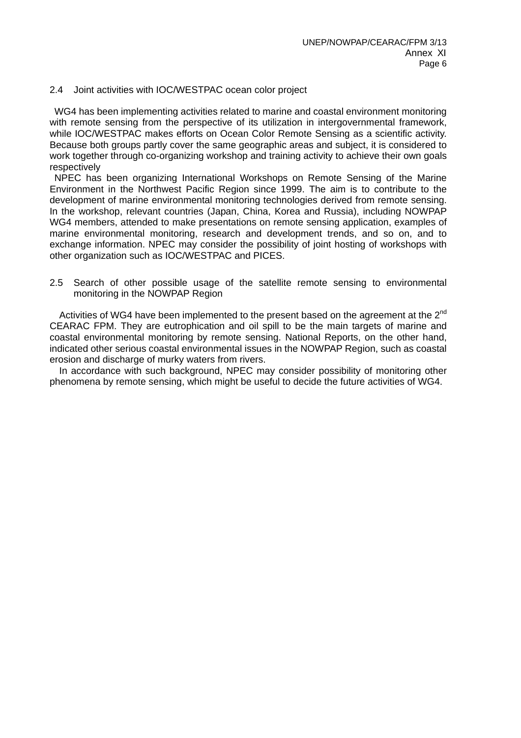#### 2.4 Joint activities with IOC/WESTPAC ocean color project

 WG4 has been implementing activities related to marine and coastal environment monitoring with remote sensing from the perspective of its utilization in intergovernmental framework, while IOC/WESTPAC makes efforts on Ocean Color Remote Sensing as a scientific activity. Because both groups partly cover the same geographic areas and subject, it is considered to work together through co-organizing workshop and training activity to achieve their own goals respectively

 NPEC has been organizing International Workshops on Remote Sensing of the Marine Environment in the Northwest Pacific Region since 1999. The aim is to contribute to the development of marine environmental monitoring technologies derived from remote sensing. In the workshop, relevant countries (Japan, China, Korea and Russia), including NOWPAP WG4 members, attended to make presentations on remote sensing application, examples of marine environmental monitoring, research and development trends, and so on, and to exchange information. NPEC may consider the possibility of joint hosting of workshops with other organization such as IOC/WESTPAC and PICES.

2.5 Search of other possible usage of the satellite remote sensing to environmental monitoring in the NOWPAP Region

Activities of WG4 have been implemented to the present based on the agreement at the 2<sup>nd</sup> CEARAC FPM. They are eutrophication and oil spill to be the main targets of marine and coastal environmental monitoring by remote sensing. National Reports, on the other hand, indicated other serious coastal environmental issues in the NOWPAP Region, such as coastal erosion and discharge of murky waters from rivers.

In accordance with such background, NPEC may consider possibility of monitoring other phenomena by remote sensing, which might be useful to decide the future activities of WG4.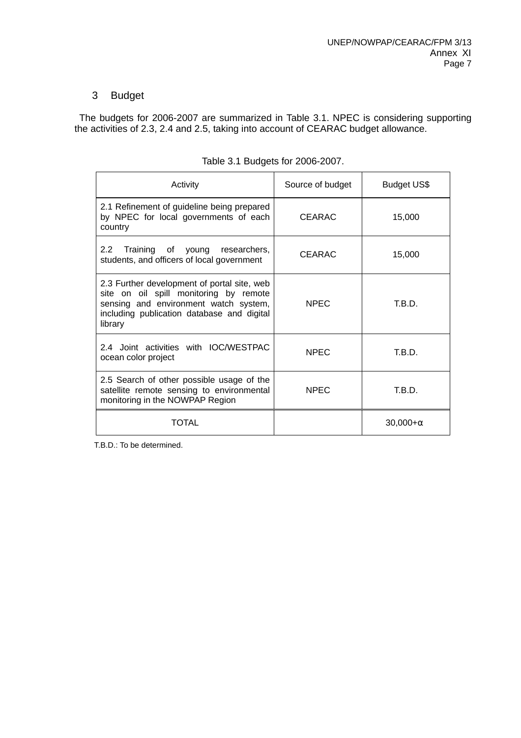# 3 Budget

 The budgets for 2006-2007 are summarized in Table 3.1. NPEC is considering supporting the activities of 2.3, 2.4 and 2.5, taking into account of CEARAC budget allowance.

| Activity                                                                                                                                                                                | Source of budget | Budget US\$ |
|-----------------------------------------------------------------------------------------------------------------------------------------------------------------------------------------|------------------|-------------|
| 2.1 Refinement of guideline being prepared<br>by NPEC for local governments of each<br>country                                                                                          | <b>CEARAC</b>    | 15,000      |
| 2.2<br>Training of young researchers,<br>students, and officers of local government                                                                                                     | CEARAC           | 15,000      |
| 2.3 Further development of portal site, web<br>site on oil spill monitoring by remote<br>sensing and environment watch system,<br>including publication database and digital<br>library | <b>NPEC</b>      | T.B.D.      |
| 2.4 Joint activities with IOC/WESTPAC<br>ocean color project                                                                                                                            | <b>NPEC</b>      | T.B.D.      |
| 2.5 Search of other possible usage of the<br>satellite remote sensing to environmental<br>monitoring in the NOWPAP Region                                                               | <b>NPEC</b>      | T.B.D.      |
| TOTAL                                                                                                                                                                                   |                  | 30,000+     |

|  | Table 3.1 Budgets for 2006-2007. |
|--|----------------------------------|
|  |                                  |

T.B.D.: To be determined.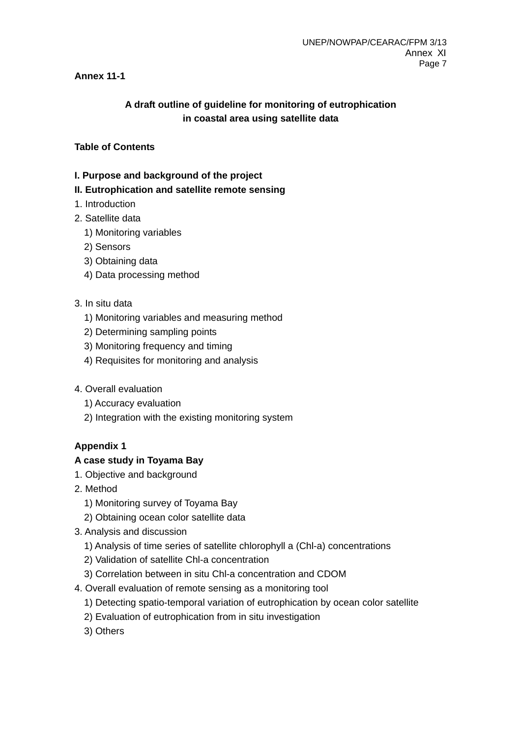# **Annex 11-1**

# **A draft outline of guideline for monitoring of eutrophication in coastal area using satellite data**

## **Table of Contents**

## **I. Purpose and background of the project**

## **II. Eutrophication and satellite remote sensing**

- 1. Introduction
- 2. Satellite data
	- 1) Monitoring variables
	- 2) Sensors
	- 3) Obtaining data
	- 4) Data processing method

## 3. In situ data

- 1) Monitoring variables and measuring method
- 2) Determining sampling points
- 3) Monitoring frequency and timing
- 4) Requisites for monitoring and analysis
- 4. Overall evaluation
	- 1) Accuracy evaluation
	- 2) Integration with the existing monitoring system

# **Appendix 1**

## **A case study in Toyama Bay**

- 1. Objective and background
- 2. Method
	- 1) Monitoring survey of Toyama Bay
	- 2) Obtaining ocean color satellite data
- 3. Analysis and discussion
	- 1) Analysis of time series of satellite chlorophyll a (Chl-a) concentrations
	- 2) Validation of satellite Chl-a concentration
	- 3) Correlation between in situ Chl-a concentration and CDOM
- 4. Overall evaluation of remote sensing as a monitoring tool
	- 1) Detecting spatio-temporal variation of eutrophication by ocean color satellite
	- 2) Evaluation of eutrophication from in situ investigation
	- 3) Others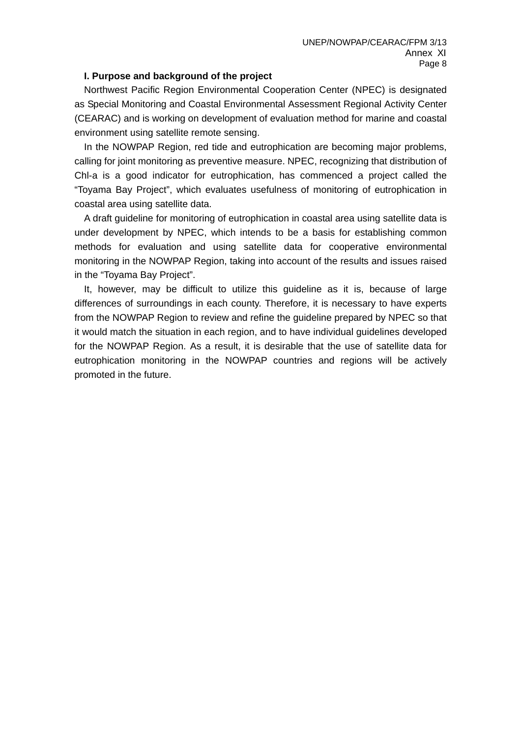#### **I. Purpose and background of the project**

Northwest Pacific Region Environmental Cooperation Center (NPEC) is designated as Special Monitoring and Coastal Environmental Assessment Regional Activity Center (CEARAC) and is working on development of evaluation method for marine and coastal environment using satellite remote sensing.

In the NOWPAP Region, red tide and eutrophication are becoming major problems, calling for joint monitoring as preventive measure. NPEC, recognizing that distribution of Chl-a is a good indicator for eutrophication, has commenced a project called the "Toyama Bay Project", which evaluates usefulness of monitoring of eutrophication in coastal area using satellite data.

 A draft guideline for monitoring of eutrophication in coastal area using satellite data is under development by NPEC, which intends to be a basis for establishing common methods for evaluation and using satellite data for cooperative environmental monitoring in the NOWPAP Region, taking into account of the results and issues raised in the "Toyama Bay Project".

It, however, may be difficult to utilize this guideline as it is, because of large differences of surroundings in each county. Therefore, it is necessary to have experts from the NOWPAP Region to review and refine the guideline prepared by NPEC so that it would match the situation in each region, and to have individual guidelines developed for the NOWPAP Region. As a result, it is desirable that the use of satellite data for eutrophication monitoring in the NOWPAP countries and regions will be actively promoted in the future.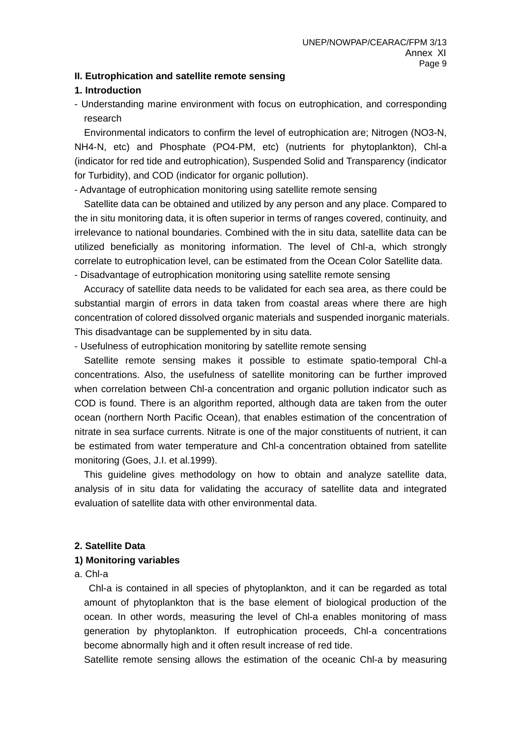#### **II. Eutrophication and satellite remote sensing**

#### **1. Introduction**

- Understanding marine environment with focus on eutrophication, and corresponding research

Environmental indicators to confirm the level of eutrophication are; Nitrogen (NO3-N, NH4-N, etc) and Phosphate (PO4-PM, etc) (nutrients for phytoplankton), Chl-a (indicator for red tide and eutrophication), Suspended Solid and Transparency (indicator for Turbidity), and COD (indicator for organic pollution).

- Advantage of eutrophication monitoring using satellite remote sensing

 Satellite data can be obtained and utilized by any person and any place. Compared to the in situ monitoring data, it is often superior in terms of ranges covered, continuity, and irrelevance to national boundaries. Combined with the in situ data, satellite data can be utilized beneficially as monitoring information. The level of Chl-a, which strongly correlate to eutrophication level, can be estimated from the Ocean Color Satellite data. - Disadvantage of eutrophication monitoring using satellite remote sensing

 Accuracy of satellite data needs to be validated for each sea area, as there could be substantial margin of errors in data taken from coastal areas where there are high concentration of colored dissolved organic materials and suspended inorganic materials. This disadvantage can be supplemented by in situ data.

- Usefulness of eutrophication monitoring by satellite remote sensing

 Satellite remote sensing makes it possible to estimate spatio-temporal Chl-a concentrations. Also, the usefulness of satellite monitoring can be further improved when correlation between Chl-a concentration and organic pollution indicator such as COD is found. There is an algorithm reported, although data are taken from the outer ocean (northern North Pacific Ocean), that enables estimation of the concentration of nitrate in sea surface currents. Nitrate is one of the major constituents of nutrient, it can be estimated from water temperature and Chl-a concentration obtained from satellite monitoring (Goes, J.I. et al.1999).

This guideline gives methodology on how to obtain and analyze satellite data, analysis of in situ data for validating the accuracy of satellite data and integrated evaluation of satellite data with other environmental data.

## **2. Satellite Data**

## **1) Monitoring variables**

#### a. Chl-a

 Chl-a is contained in all species of phytoplankton, and it can be regarded as total amount of phytoplankton that is the base element of biological production of the ocean. In other words, measuring the level of Chl-a enables monitoring of mass generation by phytoplankton. If eutrophication proceeds, Chl-a concentrations become abnormally high and it often result increase of red tide.

Satellite remote sensing allows the estimation of the oceanic Chl-a by measuring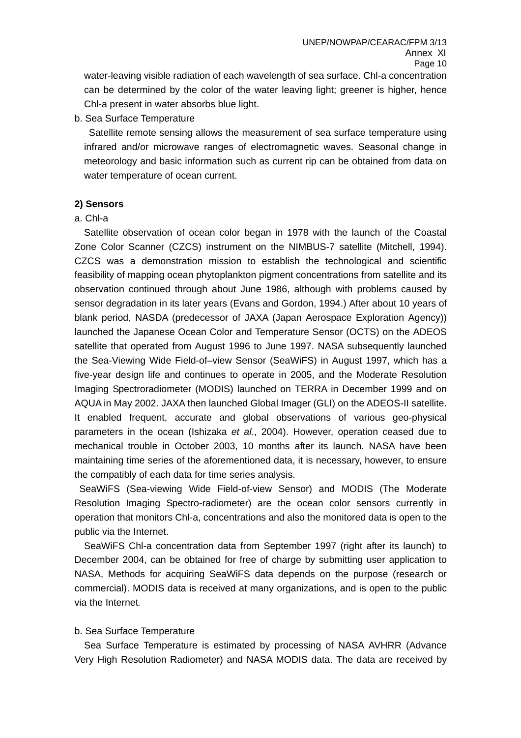water-leaving visible radiation of each wavelength of sea surface. Chl-a concentration can be determined by the color of the water leaving light; greener is higher, hence Chl-a present in water absorbs blue light.

b. Sea Surface Temperature

 Satellite remote sensing allows the measurement of sea surface temperature using infrared and/or microwave ranges of electromagnetic waves. Seasonal change in meteorology and basic information such as current rip can be obtained from data on water temperature of ocean current.

## **2) Sensors**

a. Chl-a

 Satellite observation of ocean color began in 1978 with the launch of the Coastal Zone Color Scanner (CZCS) instrument on the NIMBUS-7 satellite (Mitchell, 1994). CZCS was a demonstration mission to establish the technological and scientific feasibility of mapping ocean phytoplankton pigment concentrations from satellite and its observation continued through about June 1986, although with problems caused by sensor degradation in its later years (Evans and Gordon, 1994.) After about 10 years of blank period, NASDA (predecessor of JAXA (Japan Aerospace Exploration Agency)) launched the Japanese Ocean Color and Temperature Sensor (OCTS) on the ADEOS satellite that operated from August 1996 to June 1997. NASA subsequently launched the Sea-Viewing Wide Field-of–view Sensor (SeaWiFS) in August 1997, which has a five-year design life and continues to operate in 2005, and the Moderate Resolution Imaging Spectroradiometer (MODIS) launched on TERRA in December 1999 and on AQUA in May 2002. JAXA then launched Global Imager (GLI) on the ADEOS-II satellite. It enabled frequent, accurate and global observations of various geo-physical parameters in the ocean (Ishizaka *et al*., 2004). However, operation ceased due to mechanical trouble in October 2003, 10 months after its launch. NASA have been maintaining time series of the aforementioned data, it is necessary, however, to ensure the compatibly of each data for time series analysis.

 SeaWiFS (Sea-viewing Wide Field-of-view Sensor) and MODIS (The Moderate Resolution Imaging Spectro-radiometer) are the ocean color sensors currently in operation that monitors Chl-a, concentrations and also the monitored data is open to the public via the Internet.

SeaWiFS Chl-a concentration data from September 1997 (right after its launch) to December 2004, can be obtained for free of charge by submitting user application to NASA, Methods for acquiring SeaWiFS data depends on the purpose (research or commercial). MODIS data is received at many organizations, and is open to the public via the Internet*.* 

#### b. Sea Surface Temperature

Sea Surface Temperature is estimated by processing of NASA AVHRR (Advance Very High Resolution Radiometer) and NASA MODIS data. The data are received by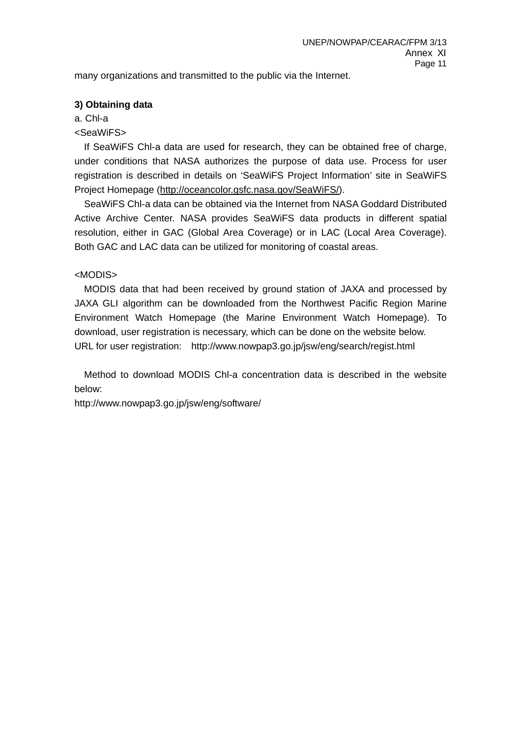many organizations and transmitted to the public via the Internet.

## **3) Obtaining data**

a. Chl-a

<SeaWiFS>

If SeaWiFS Chl-a data are used for research, they can be obtained free of charge, under conditions that NASA authorizes the purpose of data use. Process for user registration is described in details on 'SeaWiFS Project Information' site in SeaWiFS Project Homepage (http://oceancolor.gsfc.nasa.gov/SeaWiFS/).

SeaWiFS Chl-a data can be obtained via the Internet from NASA Goddard Distributed Active Archive Center. NASA provides SeaWiFS data products in different spatial resolution, either in GAC (Global Area Coverage) or in LAC (Local Area Coverage). Both GAC and LAC data can be utilized for monitoring of coastal areas.

# <MODIS>

MODIS data that had been received by ground station of JAXA and processed by JAXA GLI algorithm can be downloaded from the Northwest Pacific Region Marine Environment Watch Homepage (the Marine Environment Watch Homepage). To download, user registration is necessary, which can be done on the website below. URL for user registration: http://www.nowpap3.go.jp/jsw/eng/search/regist.html

 Method to download MODIS Chl-a concentration data is described in the website below:

http://www.nowpap3.go.jp/jsw/eng/software/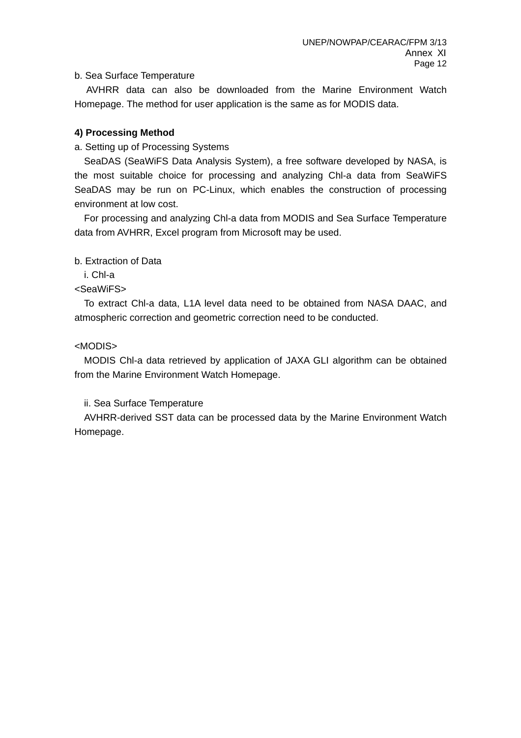## b. Sea Surface Temperature

AVHRR data can also be downloaded from the Marine Environment Watch Homepage. The method for user application is the same as for MODIS data.

#### **4) Processing Method**

#### a. Setting up of Processing Systems

SeaDAS (SeaWiFS Data Analysis System), a free software developed by NASA, is the most suitable choice for processing and analyzing Chl-a data from SeaWiFS SeaDAS may be run on PC-Linux, which enables the construction of processing environment at low cost.

 For processing and analyzing Chl-a data from MODIS and Sea Surface Temperature data from AVHRR, Excel program from Microsoft may be used.

b. Extraction of Data

i. Chl-a

<SeaWiFS>

To extract Chl-a data, L1A level data need to be obtained from NASA DAAC, and atmospheric correction and geometric correction need to be conducted.

<MODIS>

 MODIS Chl-a data retrieved by application of JAXA GLI algorithm can be obtained from the Marine Environment Watch Homepage.

ii. Sea Surface Temperature

AVHRR-derived SST data can be processed data by the Marine Environment Watch Homepage.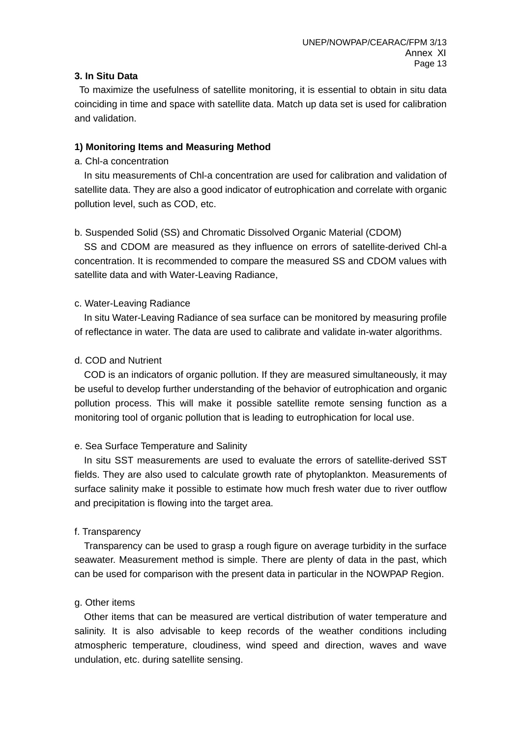## **3. In Situ Data**

 To maximize the usefulness of satellite monitoring, it is essential to obtain in situ data coinciding in time and space with satellite data. Match up data set is used for calibration and validation.

#### **1) Monitoring Items and Measuring Method**

#### a. Chl-a concentration

 In situ measurements of Chl-a concentration are used for calibration and validation of satellite data. They are also a good indicator of eutrophication and correlate with organic pollution level, such as COD, etc.

## b. Suspended Solid (SS) and Chromatic Dissolved Organic Material (CDOM)

 SS and CDOM are measured as they influence on errors of satellite-derived Chl-a concentration. It is recommended to compare the measured SS and CDOM values with satellite data and with Water-Leaving Radiance,

#### c. Water-Leaving Radiance

In situ Water-Leaving Radiance of sea surface can be monitored by measuring profile of reflectance in water. The data are used to calibrate and validate in-water algorithms.

#### d. COD and Nutrient

 COD is an indicators of organic pollution. If they are measured simultaneously, it may be useful to develop further understanding of the behavior of eutrophication and organic pollution process. This will make it possible satellite remote sensing function as a monitoring tool of organic pollution that is leading to eutrophication for local use.

## e. Sea Surface Temperature and Salinity

 In situ SST measurements are used to evaluate the errors of satellite-derived SST fields. They are also used to calculate growth rate of phytoplankton. Measurements of surface salinity make it possible to estimate how much fresh water due to river outflow and precipitation is flowing into the target area.

#### f. Transparency

 Transparency can be used to grasp a rough figure on average turbidity in the surface seawater. Measurement method is simple. There are plenty of data in the past, which can be used for comparison with the present data in particular in the NOWPAP Region.

#### g. Other items

Other items that can be measured are vertical distribution of water temperature and salinity. It is also advisable to keep records of the weather conditions including atmospheric temperature, cloudiness, wind speed and direction, waves and wave undulation, etc. during satellite sensing.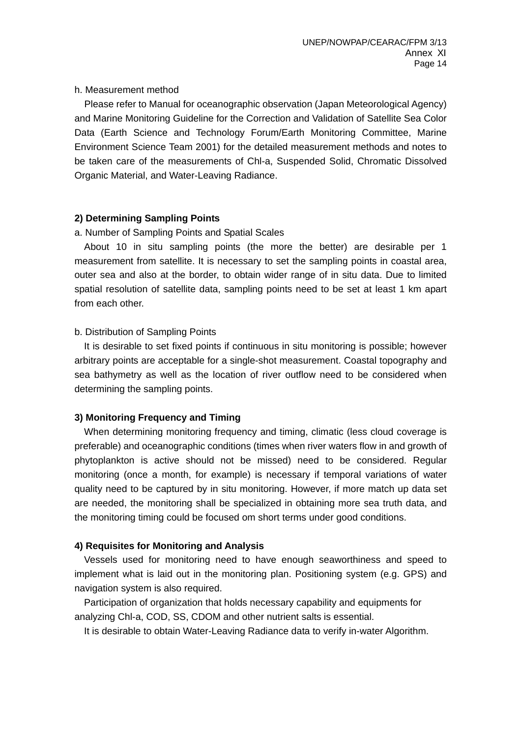#### h. Measurement method

Please refer to Manual for oceanographic observation (Japan Meteorological Agency) and Marine Monitoring Guideline for the Correction and Validation of Satellite Sea Color Data (Earth Science and Technology Forum/Earth Monitoring Committee, Marine Environment Science Team 2001) for the detailed measurement methods and notes to be taken care of the measurements of Chl-a, Suspended Solid, Chromatic Dissolved Organic Material, and Water-Leaving Radiance.

## **2) Determining Sampling Points**

#### a. Number of Sampling Points and Spatial Scales

 About 10 in situ sampling points (the more the better) are desirable per 1 measurement from satellite. It is necessary to set the sampling points in coastal area, outer sea and also at the border, to obtain wider range of in situ data. Due to limited spatial resolution of satellite data, sampling points need to be set at least 1 km apart from each other.

#### b. Distribution of Sampling Points

 It is desirable to set fixed points if continuous in situ monitoring is possible; however arbitrary points are acceptable for a single-shot measurement. Coastal topography and sea bathymetry as well as the location of river outflow need to be considered when determining the sampling points.

## **3) Monitoring Frequency and Timing**

When determining monitoring frequency and timing, climatic (less cloud coverage is preferable) and oceanographic conditions (times when river waters flow in and growth of phytoplankton is active should not be missed) need to be considered. Regular monitoring (once a month, for example) is necessary if temporal variations of water quality need to be captured by in situ monitoring. However, if more match up data set are needed, the monitoring shall be specialized in obtaining more sea truth data, and the monitoring timing could be focused om short terms under good conditions.

## **4) Requisites for Monitoring and Analysis**

Vessels used for monitoring need to have enough seaworthiness and speed to implement what is laid out in the monitoring plan. Positioning system (e.g. GPS) and navigation system is also required.

Participation of organization that holds necessary capability and equipments for analyzing Chl-a, COD, SS, CDOM and other nutrient salts is essential.

It is desirable to obtain Water-Leaving Radiance data to verify in-water Algorithm.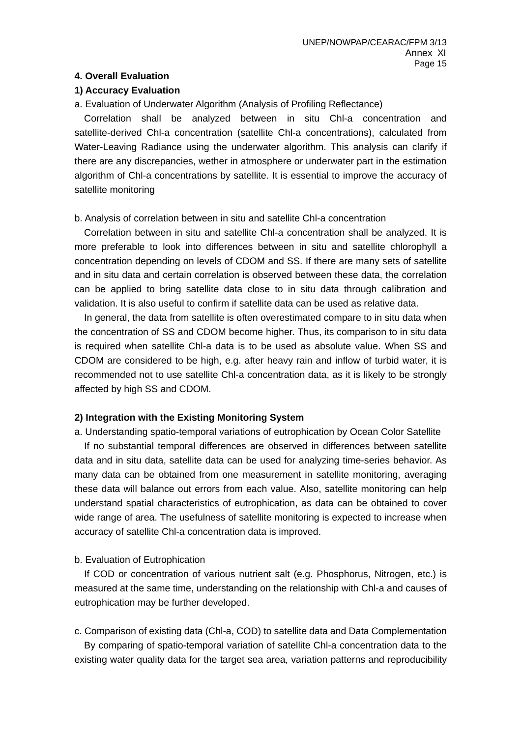# **4. Overall Evaluation**

## **1) Accuracy Evaluation**

a. Evaluation of Underwater Algorithm (Analysis of Profiling Reflectance)

Correlation shall be analyzed between in situ Chl-a concentration and satellite-derived Chl-a concentration (satellite Chl-a concentrations), calculated from Water-Leaving Radiance using the underwater algorithm. This analysis can clarify if there are any discrepancies, wether in atmosphere or underwater part in the estimation algorithm of Chl-a concentrations by satellite. It is essential to improve the accuracy of satellite monitoring

## b. Analysis of correlation between in situ and satellite Chl-a concentration

Correlation between in situ and satellite Chl-a concentration shall be analyzed. It is more preferable to look into differences between in situ and satellite chlorophyll a concentration depending on levels of CDOM and SS. If there are many sets of satellite and in situ data and certain correlation is observed between these data, the correlation can be applied to bring satellite data close to in situ data through calibration and validation. It is also useful to confirm if satellite data can be used as relative data.

 In general, the data from satellite is often overestimated compare to in situ data when the concentration of SS and CDOM become higher. Thus, its comparison to in situ data is required when satellite Chl-a data is to be used as absolute value. When SS and CDOM are considered to be high, e.g. after heavy rain and inflow of turbid water, it is recommended not to use satellite Chl-a concentration data, as it is likely to be strongly affected by high SS and CDOM.

## **2) Integration with the Existing Monitoring System**

a. Understanding spatio-temporal variations of eutrophication by Ocean Color Satellite If no substantial temporal differences are observed in differences between satellite data and in situ data, satellite data can be used for analyzing time-series behavior. As many data can be obtained from one measurement in satellite monitoring, averaging these data will balance out errors from each value. Also, satellite monitoring can help understand spatial characteristics of eutrophication, as data can be obtained to cover wide range of area. The usefulness of satellite monitoring is expected to increase when accuracy of satellite Chl-a concentration data is improved.

## b. Evaluation of Eutrophication

If COD or concentration of various nutrient salt (e.g. Phosphorus, Nitrogen, etc.) is measured at the same time, understanding on the relationship with Chl-a and causes of eutrophication may be further developed.

c. Comparison of existing data (Chl-a, COD) to satellite data and Data Complementation By comparing of spatio-temporal variation of satellite Chl-a concentration data to the existing water quality data for the target sea area, variation patterns and reproducibility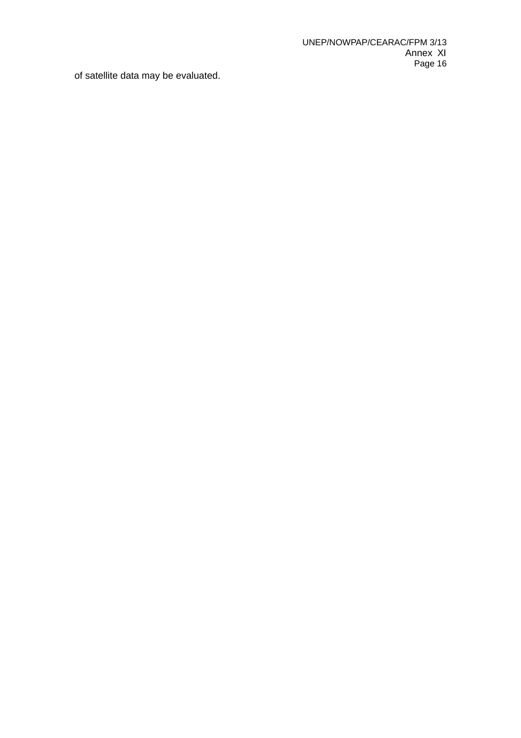of satellite data may be evaluated.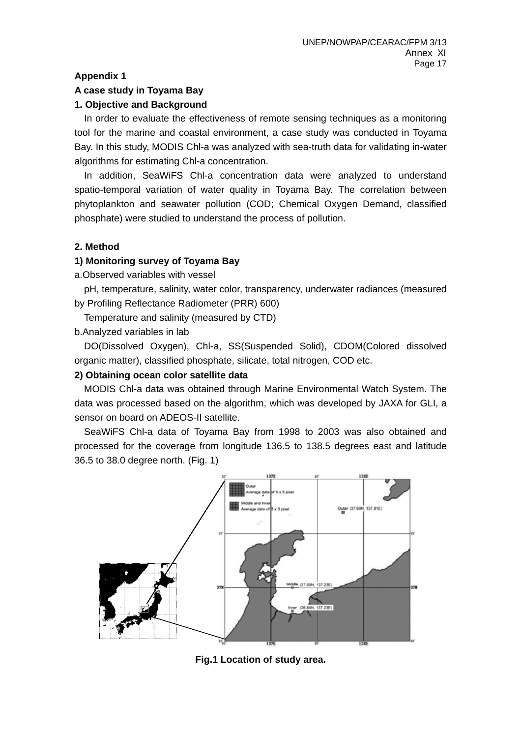## **Appendix 1**

#### **A case study in Toyama Bay**

## **1. Objective and Background**

In order to evaluate the effectiveness of remote sensing techniques as a monitoring tool for the marine and coastal environment, a case study was conducted in Toyama Bay. In this study, MODIS Chl-a was analyzed with sea-truth data for validating in-water algorithms for estimating Chl-a concentration.

In addition, SeaWiFS Chl-a concentration data were analyzed to understand spatio-temporal variation of water quality in Toyama Bay. The correlation between phytoplankton and seawater pollution (COD; Chemical Oxygen Demand, classified phosphate) were studied to understand the process of pollution.

## **2. Method**

## **1) Monitoring survey of Toyama Bay**

a.Observed variables with vessel

pH, temperature, salinity, water color, transparency, underwater radiances (measured by Profiling Reflectance Radiometer (PRR) 600)

Temperature and salinity (measured by CTD)

b.Analyzed variables in lab

DO(Dissolved Oxygen), Chl-a, SS(Suspended Solid), CDOM(Colored dissolved organic matter), classified phosphate, silicate, total nitrogen, COD etc.

## **2) Obtaining ocean color satellite data**

 MODIS Chl-a data was obtained through Marine Environmental Watch System. The data was processed based on the algorithm, which was developed by JAXA for GLI, a sensor on board on ADEOS-II satellite.

 SeaWiFS Chl-a data of Toyama Bay from 1998 to 2003 was also obtained and processed for the coverage from longitude 136.5 to 138.5 degrees east and latitude 36.5 to 38.0 degree north. (Fig. 1)



**Fig.1 Location of study area.**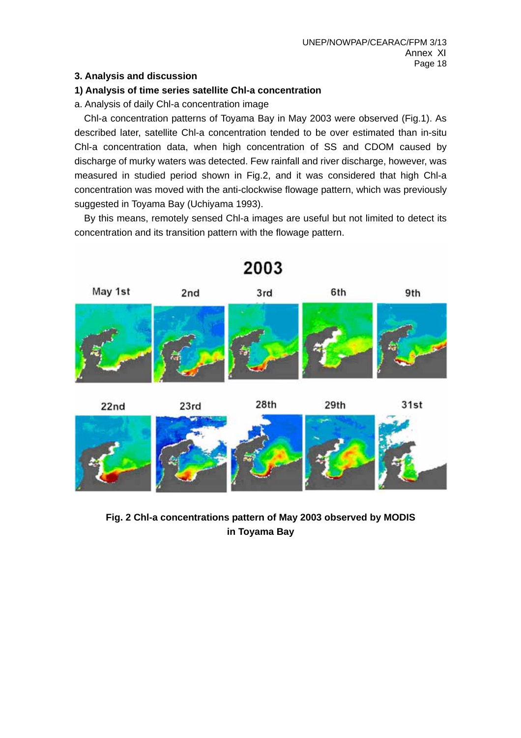# **3. Analysis and discussion**

# **1) Analysis of time series satellite Chl-a concentration**

a. Analysis of daily Chl-a concentration image

 Chl-a concentration patterns of Toyama Bay in May 2003 were observed (Fig.1). As described later, satellite Chl-a concentration tended to be over estimated than in-situ Chl-a concentration data, when high concentration of SS and CDOM caused by discharge of murky waters was detected. Few rainfall and river discharge, however, was measured in studied period shown in Fig.2, and it was considered that high Chl-a concentration was moved with the anti-clockwise flowage pattern, which was previously suggested in Toyama Bay (Uchiyama 1993).

 By this means, remotely sensed Chl-a images are useful but not limited to detect its concentration and its transition pattern with the flowage pattern.



**Fig. 2 Chl-a concentrations pattern of May 2003 observed by MODIS in Toyama Bay**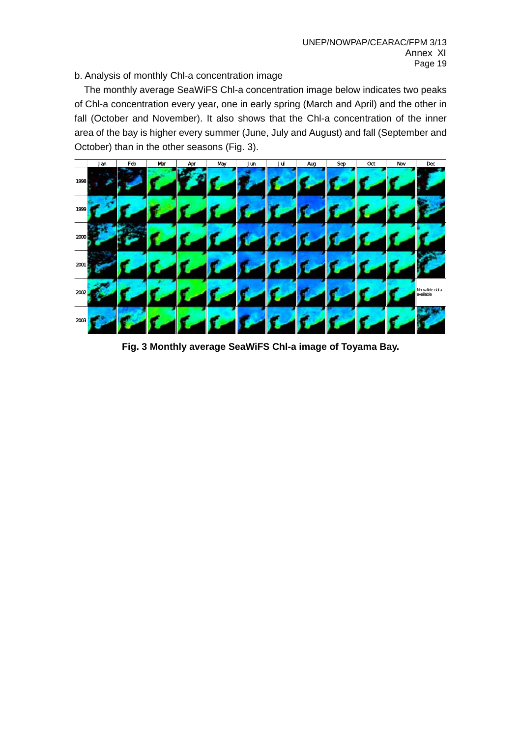b. Analysis of monthly Chl-a concentration image

 The monthly average SeaWiFS Chl-a concentration image below indicates two peaks of Chl-a concentration every year, one in early spring (March and April) and the other in fall (October and November). It also shows that the Chl-a concentration of the inner area of the bay is higher every summer (June, July and August) and fall (September and October) than in the other seasons (Fig. 3).



**Fig. 3 Monthly average SeaWiFS Chl-a image of Toyama Bay.**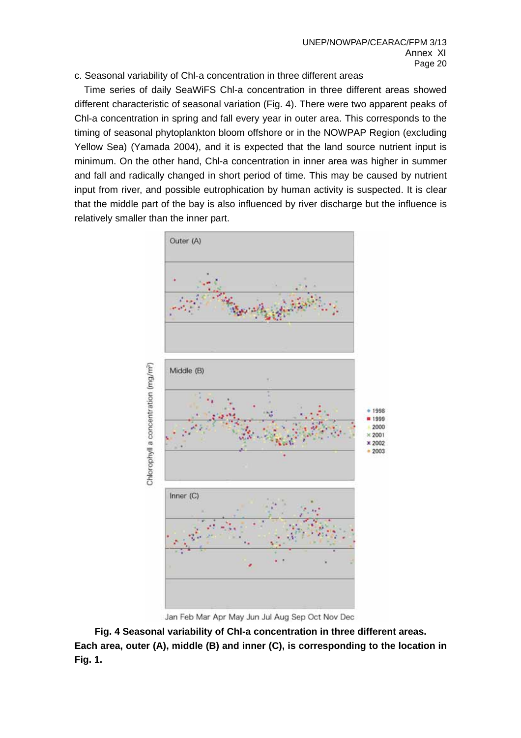c. Seasonal variability of Chl-a concentration in three different areas

 Time series of daily SeaWiFS Chl-a concentration in three different areas showed different characteristic of seasonal variation (Fig. 4). There were two apparent peaks of Chl-a concentration in spring and fall every year in outer area. This corresponds to the timing of seasonal phytoplankton bloom offshore or in the NOWPAP Region (excluding Yellow Sea) (Yamada 2004), and it is expected that the land source nutrient input is minimum. On the other hand, Chl-a concentration in inner area was higher in summer and fall and radically changed in short period of time. This may be caused by nutrient input from river, and possible eutrophication by human activity is suspected. It is clear that the middle part of the bay is also influenced by river discharge but the influence is relatively smaller than the inner part.



Jan Feb Mar Apr May Jun Jul Aug Sep Oct Nov Dec

**Fig. 4 Seasonal variability of Chl-a concentration in three different areas. Each area, outer (A), middle (B) and inner (C), is corresponding to the location in Fig. 1.**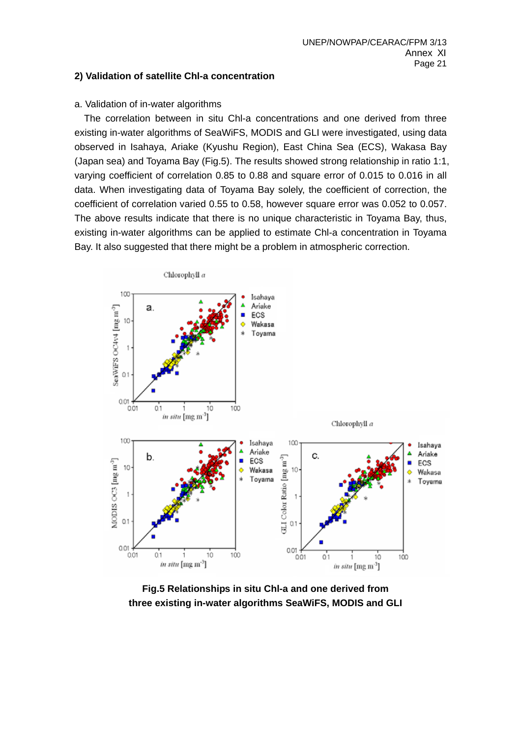## **2) Validation of satellite Chl-a concentration**

## a. Validation of in-water algorithms

 The correlation between in situ Chl-a concentrations and one derived from three existing in-water algorithms of SeaWiFS, MODIS and GLI were investigated, using data observed in Isahaya, Ariake (Kyushu Region), East China Sea (ECS), Wakasa Bay (Japan sea) and Toyama Bay (Fig.5). The results showed strong relationship in ratio 1:1, varying coefficient of correlation 0.85 to 0.88 and square error of 0.015 to 0.016 in all data. When investigating data of Toyama Bay solely, the coefficient of correction, the coefficient of correlation varied 0.55 to 0.58, however square error was 0.052 to 0.057. The above results indicate that there is no unique characteristic in Toyama Bay, thus, existing in-water algorithms can be applied to estimate Chl-a concentration in Toyama Bay. It also suggested that there might be a problem in atmospheric correction.



**Fig.5 Relationships in situ Chl-a and one derived from three existing in-water algorithms SeaWiFS, MODIS and GLI**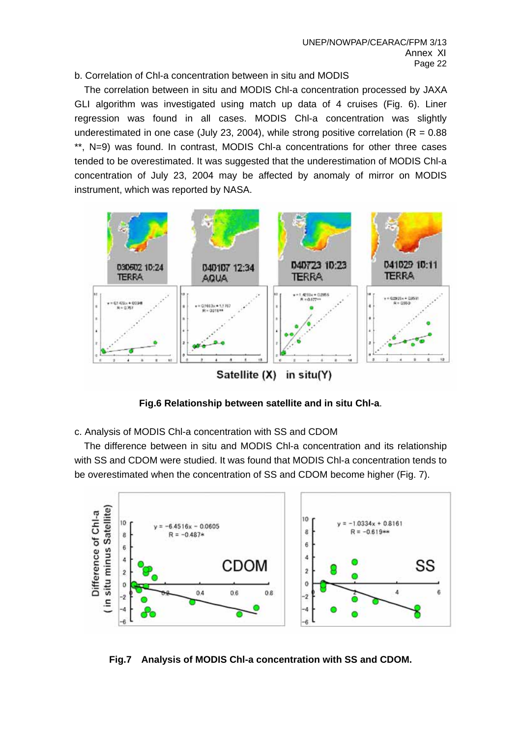## b. Correlation of Chl-a concentration between in situ and MODIS

 The correlation between in situ and MODIS Chl-a concentration processed by JAXA GLI algorithm was investigated using match up data of 4 cruises (Fig. 6). Liner regression was found in all cases. MODIS Chl-a concentration was slightly underestimated in one case (July 23, 2004), while strong positive correlation ( $R = 0.88$ ) \*\*, N=9) was found. In contrast, MODIS Chl-a concentrations for other three cases tended to be overestimated. It was suggested that the underestimation of MODIS Chl-a concentration of July 23, 2004 may be affected by anomaly of mirror on MODIS instrument, which was reported by NASA.



**Fig.6 Relationship between satellite and in situ Chl-a**.

c. Analysis of MODIS Chl-a concentration with SS and CDOM

 The difference between in situ and MODIS Chl-a concentration and its relationship with SS and CDOM were studied. It was found that MODIS Chl-a concentration tends to be overestimated when the concentration of SS and CDOM become higher (Fig. 7).



**Fig.7 Analysis of MODIS Chl-a concentration with SS and CDOM.**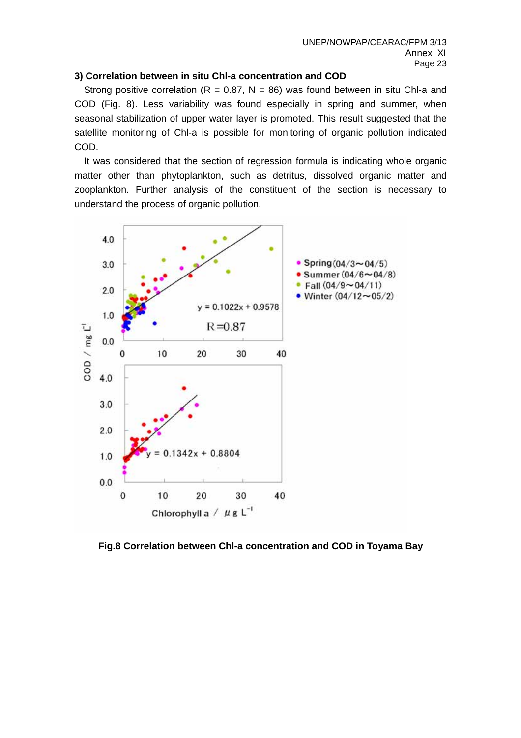## **3) Correlation between in situ Chl-a concentration and COD**

Strong positive correlation (R = 0.87, N = 86) was found between in situ Chl-a and COD (Fig. 8). Less variability was found especially in spring and summer, when seasonal stabilization of upper water layer is promoted. This result suggested that the satellite monitoring of Chl-a is possible for monitoring of organic pollution indicated COD.

 It was considered that the section of regression formula is indicating whole organic matter other than phytoplankton, such as detritus, dissolved organic matter and zooplankton. Further analysis of the constituent of the section is necessary to understand the process of organic pollution.



**Fig.8 Correlation between Chl-a concentration and COD in Toyama Bay**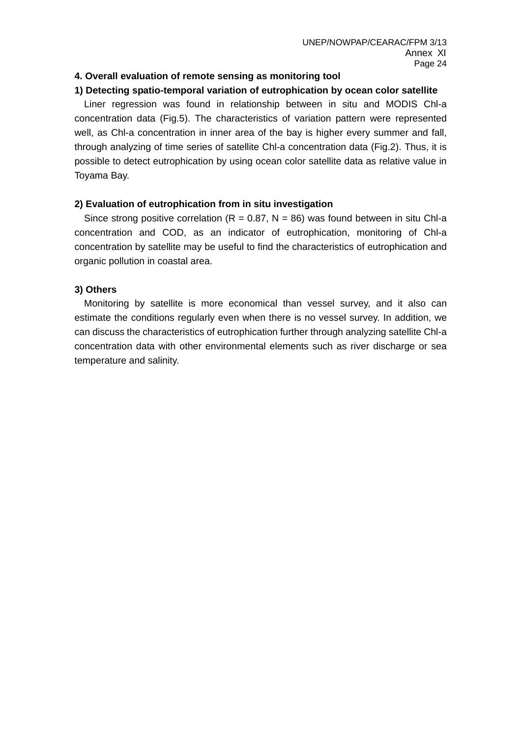# **4. Overall evaluation of remote sensing as monitoring tool**

#### **1) Detecting spatio-temporal variation of eutrophication by ocean color satellite**

 Liner regression was found in relationship between in situ and MODIS Chl-a concentration data (Fig.5). The characteristics of variation pattern were represented well, as Chl-a concentration in inner area of the bay is higher every summer and fall, through analyzing of time series of satellite Chl-a concentration data (Fig.2). Thus, it is possible to detect eutrophication by using ocean color satellite data as relative value in Toyama Bay.

#### **2) Evaluation of eutrophication from in situ investigation**

Since strong positive correlation ( $R = 0.87$ ,  $N = 86$ ) was found between in situ Chl-a concentration and COD, as an indicator of eutrophication, monitoring of Chl-a concentration by satellite may be useful to find the characteristics of eutrophication and organic pollution in coastal area.

#### **3) Others**

Monitoring by satellite is more economical than vessel survey, and it also can estimate the conditions regularly even when there is no vessel survey. In addition, we can discuss the characteristics of eutrophication further through analyzing satellite Chl-a concentration data with other environmental elements such as river discharge or sea temperature and salinity.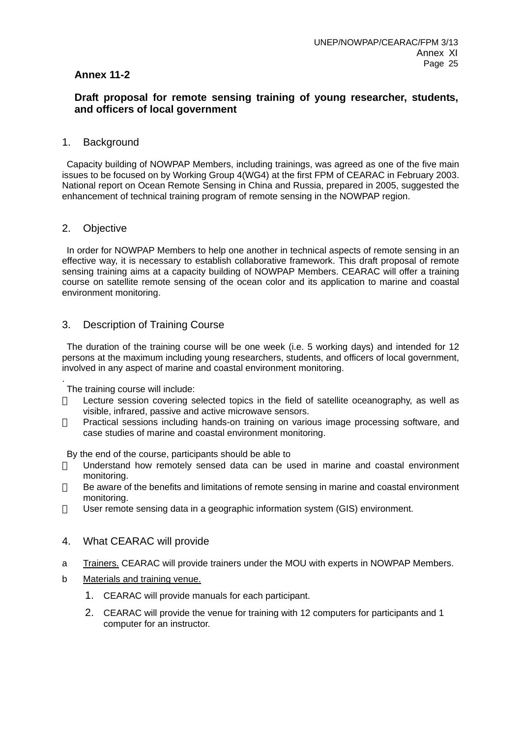## **Annex 11-2**

## **Draft proposal for remote sensing training of young researcher, students, and officers of local government**

#### 1. Background

 Capacity building of NOWPAP Members, including trainings, was agreed as one of the five main issues to be focused on by Working Group 4(WG4) at the first FPM of CEARAC in February 2003. National report on Ocean Remote Sensing in China and Russia, prepared in 2005, suggested the enhancement of technical training program of remote sensing in the NOWPAP region.

#### 2. Objective

 In order for NOWPAP Members to help one another in technical aspects of remote sensing in an effective way, it is necessary to establish collaborative framework. This draft proposal of remote sensing training aims at a capacity building of NOWPAP Members. CEARAC will offer a training course on satellite remote sensing of the ocean color and its application to marine and coastal environment monitoring.

## 3. Description of Training Course

 The duration of the training course will be one week (i.e. 5 working days) and intended for 12 persons at the maximum including young researchers, students, and officers of local government, involved in any aspect of marine and coastal environment monitoring.

. The training course will include:

> Lecture session covering selected topics in the field of satellite oceanography, as well as visible, infrared, passive and active microwave sensors.

> Practical sessions including hands-on training on various image processing software, and case studies of marine and coastal environment monitoring.

#### By the end of the course, participants should be able to

Understand how remotely sensed data can be used in marine and coastal environment monitoring.

Be aware of the benefits and limitations of remote sensing in marine and coastal environment monitoring.

User remote sensing data in a geographic information system (GIS) environment.

#### 4. What CEARAC will provide

- a Trainers. CEARAC will provide trainers under the MOU with experts in NOWPAP Members.
- b Materials and training venue.
	- 1. CEARAC will provide manuals for each participant.
	- 2. CEARAC will provide the venue for training with 12 computers for participants and 1 computer for an instructor.